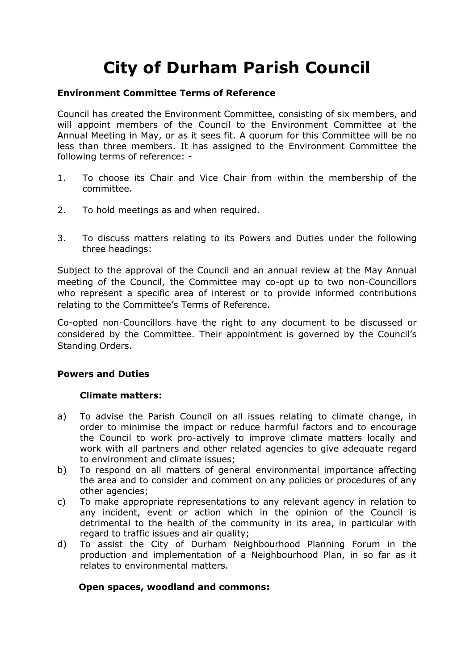# **City of Durham Parish Council**

#### **Environment Committee Terms of Reference**

Council has created the Environment Committee, consisting of six members, and will appoint members of the Council to the Environment Committee at the Annual Meeting in May, or as it sees fit. A quorum for this Committee will be no less than three members. It has assigned to the Environment Committee the following terms of reference: -

- 1. To choose its Chair and Vice Chair from within the membership of the committee.
- 2. To hold meetings as and when required.
- 3. To discuss matters relating to its Powers and Duties under the following three headings:

Subject to the approval of the Council and an annual review at the May Annual meeting of the Council, the Committee may co-opt up to two non-Councillors who represent a specific area of interest or to provide informed contributions relating to the Committee's Terms of Reference.

Co-opted non-Councillors have the right to any document to be discussed or considered by the Committee. Their appointment is governed by the Council's Standing Orders.

# **Powers and Duties**

# **Climate matters:**

- a) To advise the Parish Council on all issues relating to climate change, in order to minimise the impact or reduce harmful factors and to encourage the Council to work pro-actively to improve climate matters locally and work with all partners and other related agencies to give adequate regard to environment and climate issues;
- b) To respond on all matters of general environmental importance affecting the area and to consider and comment on any policies or procedures of any other agencies;
- c) To make appropriate representations to any relevant agency in relation to any incident, event or action which in the opinion of the Council is detrimental to the health of the community in its area, in particular with regard to traffic issues and air quality;
- d) To assist the City of Durham Neighbourhood Planning Forum in the production and implementation of a Neighbourhood Plan, in so far as it relates to environmental matters.

# **Open spaces, woodland and commons:**